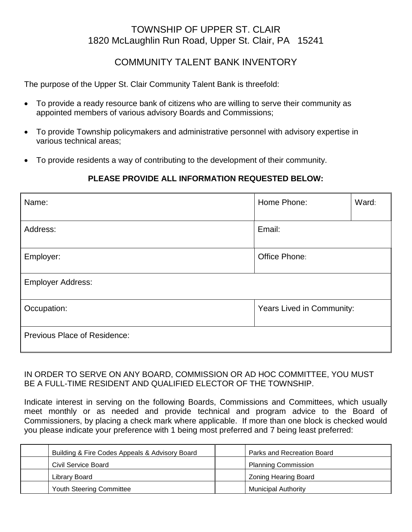# TOWNSHIP OF UPPER ST. CLAIR 1820 McLaughlin Run Road, Upper St. Clair, PA 15241

## COMMUNITY TALENT BANK INVENTORY

The purpose of the Upper St. Clair Community Talent Bank is threefold:

- To provide a ready resource bank of citizens who are willing to serve their community as appointed members of various advisory Boards and Commissions;
- To provide Township policymakers and administrative personnel with advisory expertise in various technical areas;
- To provide residents a way of contributing to the development of their community.

### **PLEASE PROVIDE ALL INFORMATION REQUESTED BELOW:**

| Name:                               | Home Phone:               | Ward: |  |
|-------------------------------------|---------------------------|-------|--|
| Address:                            | Email:                    |       |  |
| Employer:                           | Office Phone:             |       |  |
| <b>Employer Address:</b>            |                           |       |  |
| Occupation:                         | Years Lived in Community: |       |  |
| <b>Previous Place of Residence:</b> |                           |       |  |

#### IN ORDER TO SERVE ON ANY BOARD, COMMISSION OR AD HOC COMMITTEE, YOU MUST BE A FULL-TIME RESIDENT AND QUALIFIED ELECTOR OF THE TOWNSHIP.

Indicate interest in serving on the following Boards, Commissions and Committees, which usually meet monthly or as needed and provide technical and program advice to the Board of Commissioners, by placing a check mark where applicable. If more than one block is checked would you please indicate your preference with 1 being most preferred and 7 being least preferred:

| Building & Fire Codes Appeals & Advisory Board | Parks and Recreation Board  |
|------------------------------------------------|-----------------------------|
| <b>Civil Service Board</b>                     | <b>Planning Commission</b>  |
| Library Board                                  | <b>Zoning Hearing Board</b> |
| Youth Steering Committee                       | <b>Municipal Authority</b>  |